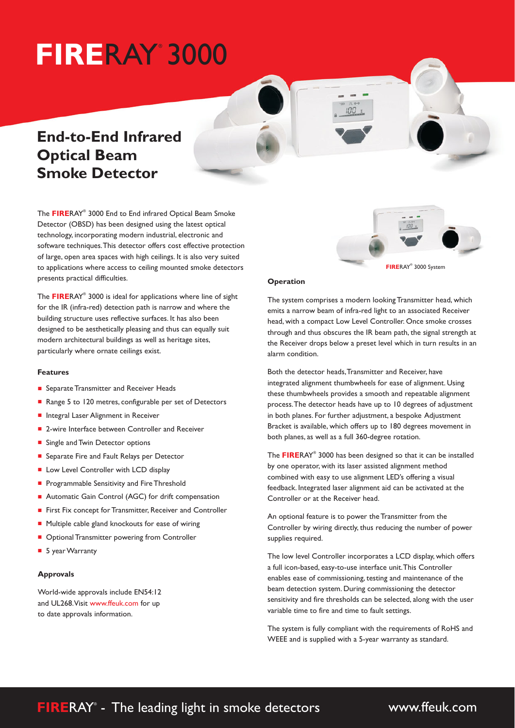# **FIRE**RAY 3000 ®

# **End-to-End Infrared Optical Beam Smoke Detector**

The FIRERAY® 3000 End to End infrared Optical Beam Smoke Detector (OBSD) has been designed using the latest optical technology, incorporating modern industrial, electronic and software techniques.This detector offers cost effective protection of large, open area spaces with high ceilings. It is also very suited to applications where access to ceiling mounted smoke detectors presents practical difficulties.

The FIRERAY® 3000 is ideal for applications where line of sight for the IR (infra-red) detection path is narrow and where the building structure uses reflective surfaces. It has also been designed to be aesthetically pleasing and thus can equally suit modern architectural buildings as well as heritage sites, particularly where ornate ceilings exist.

#### **Features**

- Separate Transmitter and Receiver Heads
- Range 5 to 120 metres, configurable per set of Detectors
- Integral Laser Alignment in Receiver
- 2-wire Interface between Controller and Receiver
- Single and Twin Detector options
- Separate Fire and Fault Relays per Detector
- Low Level Controller with LCD display
- **Programmable Sensitivity and Fire Threshold**
- Automatic Gain Control (AGC) for drift compensation
- First Fix concept for Transmitter, Receiver and Controller
- Multiple cable gland knockouts for ease of wiring
- Optional Transmitter powering from Controller
- 5 year Warranty

### **Approvals**

World-wide approvals include EN54:12 and UL268.Visit www.ffeuk.com for up to date approvals information.



## **Operation**

The system comprises a modern looking Transmitter head, which emits a narrow beam of infra-red light to an associated Receiver head, with a compact Low Level Controller. Once smoke crosses through and thus obscures the IR beam path, the signal strength at the Receiver drops below a preset level which in turn results in an alarm condition.

 $\Omega$ 

Both the detector heads,Transmitter and Receiver, have integrated alignment thumbwheels for ease of alignment. Using these thumbwheels provides a smooth and repeatable alignment process.The detector heads have up to 10 degrees of adjustment in both planes. For further adjustment, a bespoke Adjustment Bracket is available, which offers up to 180 degrees movement in both planes, as well as a full 360-degree rotation.

The FIRERAY® 3000 has been designed so that it can be installed by one operator, with its laser assisted alignment method combined with easy to use alignment LED's offering a visual feedback. Integrated laser alignment aid can be activated at the Controller or at the Receiver head.

An optional feature is to power the Transmitter from the Controller by wiring directly, thus reducing the number of power supplies required.

The low level Controller incorporates a LCD display, which offers a full icon-based, easy-to-use interface unit.This Controller enables ease of commissioning, testing and maintenance of the beam detection system. During commissioning the detector sensitivity and fire thresholds can be selected, along with the user variable time to fire and time to fault settings.

The system is fully compliant with the requirements of RoHS and WEEE and is supplied with a 5-year warranty as standard.

# **FIRERAY<sup>®</sup>** - The leading light in smoke detectors

www.ffeuk.com